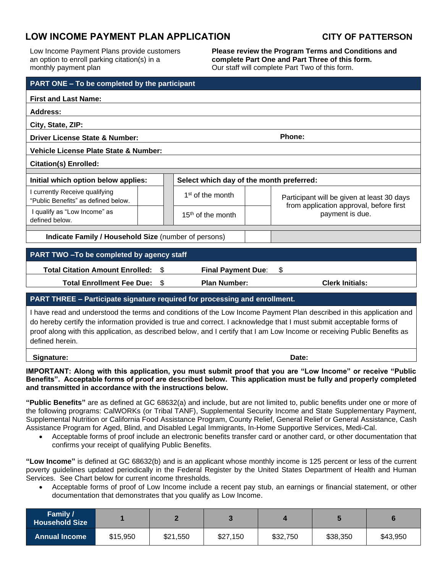## **LOW INCOME PAYMENT PLAN APPLICATION CITY OF PATTERSON**

Low Income Payment Plans provide customers an option to enroll parking citation(s) in a monthly payment plan

**Please review the Program Terms and Conditions and complete Part One and Part Three of this form.**  Our staff will complete Part Two of this form.

| PART ONE - To be completed by the participant                                                                                                                                                                                                                                                                                                                                                |  |                                          |  |                                                            |  |  |  |  |
|----------------------------------------------------------------------------------------------------------------------------------------------------------------------------------------------------------------------------------------------------------------------------------------------------------------------------------------------------------------------------------------------|--|------------------------------------------|--|------------------------------------------------------------|--|--|--|--|
| <b>First and Last Name:</b>                                                                                                                                                                                                                                                                                                                                                                  |  |                                          |  |                                                            |  |  |  |  |
| <b>Address:</b>                                                                                                                                                                                                                                                                                                                                                                              |  |                                          |  |                                                            |  |  |  |  |
| City, State, ZIP:                                                                                                                                                                                                                                                                                                                                                                            |  |                                          |  |                                                            |  |  |  |  |
| Phone:<br>Driver License State & Number:                                                                                                                                                                                                                                                                                                                                                     |  |                                          |  |                                                            |  |  |  |  |
| Vehicle License Plate State & Number:                                                                                                                                                                                                                                                                                                                                                        |  |                                          |  |                                                            |  |  |  |  |
| <b>Citation(s) Enrolled:</b>                                                                                                                                                                                                                                                                                                                                                                 |  |                                          |  |                                                            |  |  |  |  |
| Initial which option below applies:                                                                                                                                                                                                                                                                                                                                                          |  | Select which day of the month preferred: |  |                                                            |  |  |  |  |
| I currently Receive qualifying<br>"Public Benefits" as defined below.                                                                                                                                                                                                                                                                                                                        |  | 1 <sup>st</sup> of the month             |  | Participant will be given at least 30 days                 |  |  |  |  |
| I qualify as "Low Income" as<br>defined below.                                                                                                                                                                                                                                                                                                                                               |  | $15th$ of the month                      |  | from application approval, before first<br>payment is due. |  |  |  |  |
| Indicate Family / Household Size (number of persons)                                                                                                                                                                                                                                                                                                                                         |  |                                          |  |                                                            |  |  |  |  |
|                                                                                                                                                                                                                                                                                                                                                                                              |  |                                          |  |                                                            |  |  |  |  |
| PART TWO - To be completed by agency staff                                                                                                                                                                                                                                                                                                                                                   |  |                                          |  |                                                            |  |  |  |  |
| \$<br><b>Total Citation Amount Enrolled:</b><br>\$<br><b>Final Payment Due:</b>                                                                                                                                                                                                                                                                                                              |  |                                          |  |                                                            |  |  |  |  |
| $\mathfrak{S}$<br><b>Total Enrollment Fee Due:</b>                                                                                                                                                                                                                                                                                                                                           |  | <b>Plan Number:</b>                      |  | <b>Clerk Initials:</b>                                     |  |  |  |  |
| PART THREE - Participate signature required for processing and enrollment.                                                                                                                                                                                                                                                                                                                   |  |                                          |  |                                                            |  |  |  |  |
| I have read and understood the terms and conditions of the Low Income Payment Plan described in this application and<br>do hereby certify the information provided is true and correct. I acknowledge that I must submit acceptable forms of<br>proof along with this application, as described below, and I certify that I am Low Income or receiving Public Benefits as<br>defined herein. |  |                                          |  |                                                            |  |  |  |  |

**Signature: Date:**

**IMPORTANT: Along with this application, you must submit proof that you are "Low Income" or receive "Public Benefits". Acceptable forms of proof are described below. This application must be fully and properly completed and transmitted in accordance with the instructions below.**

**"Public Benefits"** are as defined at GC 68632(a) and include, but are not limited to, public benefits under one or more of the following programs: CalWORKs (or Tribal TANF), Supplemental Security Income and State Supplementary Payment, Supplemental Nutrition or California Food Assistance Program, County Relief, General Relief or General Assistance, Cash Assistance Program for Aged, Blind, and Disabled Legal Immigrants, In-Home Supportive Services, Medi-Cal.

• Acceptable forms of proof include an electronic benefits transfer card or another card, or other documentation that confirms your receipt of qualifying Public Benefits.

**"Low Income"** is defined at GC 68632(b) and is an applicant whose monthly income is 125 percent or less of the current poverty guidelines updated periodically in the Federal Register by the United States Department of Health and Human Services.See Chart below for current income thresholds.

• Acceptable forms of proof of Low Income include a recent pay stub, an earnings or financial statement, or other documentation that demonstrates that you qualify as Low Income.

| <b>Family /</b><br><b>Household Size</b> |          |          |          |          |          |          |
|------------------------------------------|----------|----------|----------|----------|----------|----------|
| <b>Annual Income</b>                     | \$15,950 | \$21,550 | \$27,150 | \$32,750 | \$38,350 | \$43,950 |